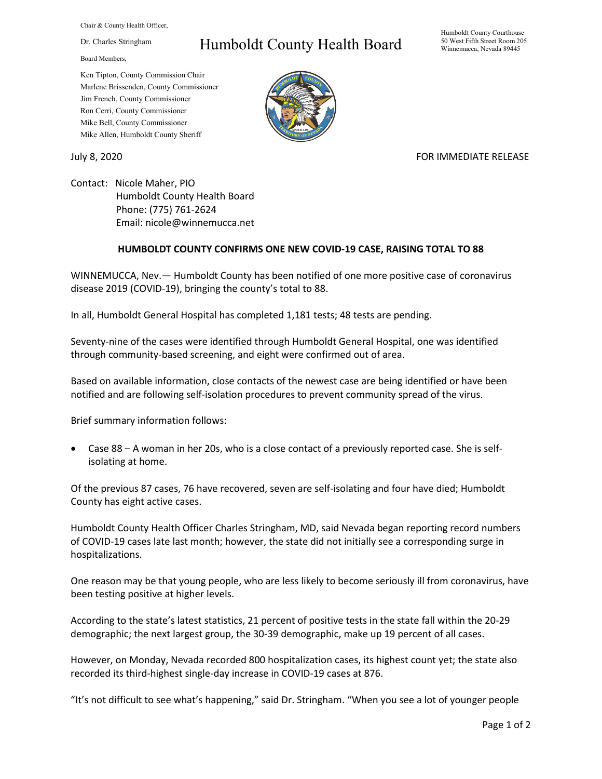Chair & County Health Officer,

Dr. Charles Stringham

Board Members,

## Humboldt County Health Board

Humboldt County Courthouse 50 West Fifth Street Room 205 Winnemucca, Nevada 89445

Ken Tipton, County Commission Chair Marlene Brissenden, County Commissioner Jim French, County Commissioner Ron Cerri, County Commissioner Mike Bell, County Commissioner Mike Allen, Humboldt County Sheriff

July 8, 2020 **FOR IMMEDIATE RELEASE** 

Contact: Nicole Maher, PIO Humboldt County Health Board Phone: (775) 761-2624 Email: nicole@winnemucca.net

## **HUMBOLDT COUNTY CONFIRMS ONE NEW COVID-19 CASE, RAISING TOTAL TO 88**

WINNEMUCCA, Nev.— Humboldt County has been notified of one more positive case of coronavirus disease 2019 (COVID-19), bringing the county's total to 88.

In all, Humboldt General Hospital has completed 1,181 tests; 48 tests are pending.

Seventy-nine of the cases were identified through Humboldt General Hospital, one was identified through community-based screening, and eight were confirmed out of area.

Based on available information, close contacts of the newest case are being identified or have been notified and are following self-isolation procedures to prevent community spread of the virus.

Brief summary information follows:

• Case 88 – A woman in her 20s, who is a close contact of a previously reported case. She is selfisolating at home.

Of the previous 87 cases, 76 have recovered, seven are self-isolating and four have died; Humboldt County has eight active cases.

Humboldt County Health Officer Charles Stringham, MD, said Nevada began reporting record numbers of COVID-19 cases late last month; however, the state did not initially see a corresponding surge in hospitalizations.

One reason may be that young people, who are less likely to become seriously ill from coronavirus, have been testing positive at higher levels.

According to the state's latest statistics, 21 percent of positive tests in the state fall within the 20-29 demographic; the next largest group, the 30-39 demographic, make up 19 percent of all cases.

However, on Monday, Nevada recorded 800 hospitalization cases, its highest count yet; the state also recorded its third-highest single-day increase in COVID-19 cases at 876.

"It's not difficult to see what's happening," said Dr. Stringham. "When you see a lot of younger people